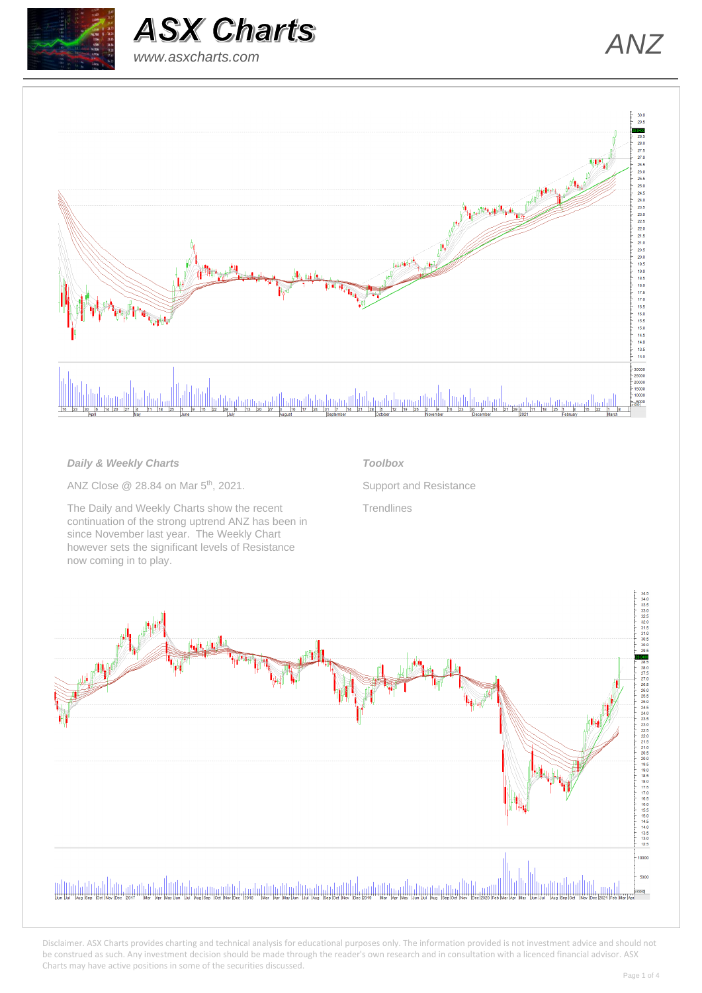





### *Daily & Weekly Charts*

ANZ Close @ 28.84 on Mar 5<sup>th</sup>, 2021.

The Daily and Weekly Charts show the recent continuation of the strong uptrend ANZ has been in since November last year. The Weekly Chart however sets the significant levels of Resistance now coming in to play.

### *Toolbox*

Support and Resistance

**Trendlines** 

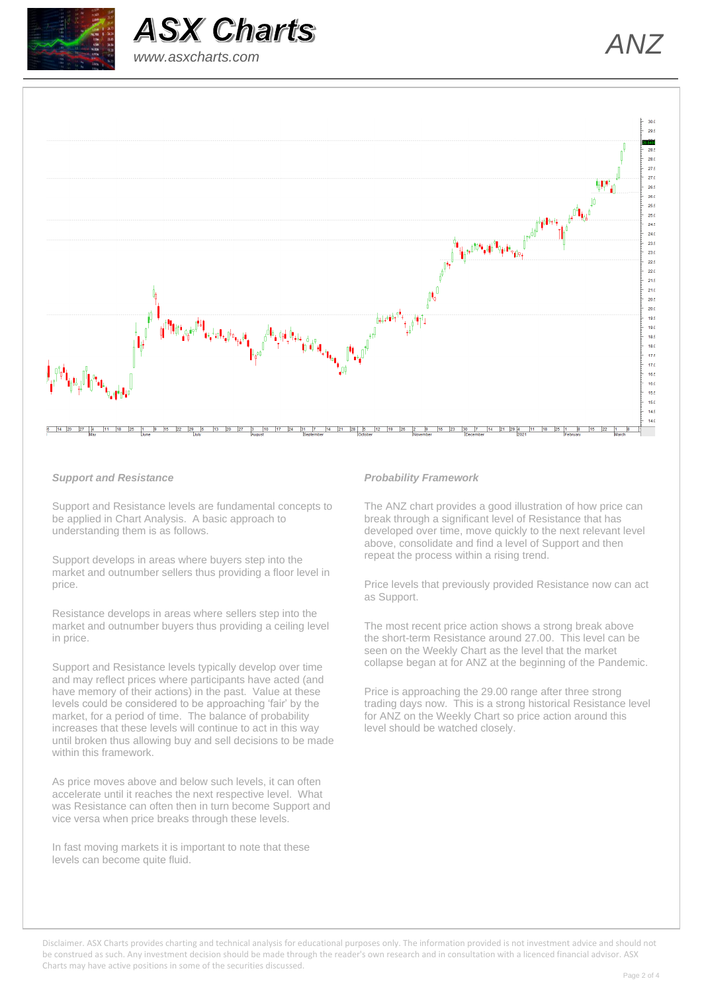





#### *Support and Resistance*

Support and Resistance levels are fundamental concepts to be applied in Chart Analysis. A basic approach to understanding them is as follows.

Support develops in areas where buyers step into the market and outnumber sellers thus providing a floor level in price.

Resistance develops in areas where sellers step into the market and outnumber buyers thus providing a ceiling level in price.

Support and Resistance levels typically develop over time and may reflect prices where participants have acted (and have memory of their actions) in the past. Value at these levels could be considered to be approaching 'fair' by the market, for a period of time. The balance of probability increases that these levels will continue to act in this way until broken thus allowing buy and sell decisions to be made within this framework.

As price moves above and below such levels, it can often accelerate until it reaches the next respective level. What was Resistance can often then in turn become Support and vice versa when price breaks through these levels.

In fast moving markets it is important to note that these levels can become quite fluid.

#### *Probability Framework*

The ANZ chart provides a good illustration of how price can break through a significant level of Resistance that has developed over time, move quickly to the next relevant level above, consolidate and find a level of Support and then repeat the process within a rising trend.

Price levels that previously provided Resistance now can act as Support.

The most recent price action shows a strong break above the short-term Resistance around 27.00. This level can be seen on the Weekly Chart as the level that the market collapse began at for ANZ at the beginning of the Pandemic.

Price is approaching the 29.00 range after three strong trading days now. This is a strong historical Resistance level for ANZ on the Weekly Chart so price action around this level should be watched closely.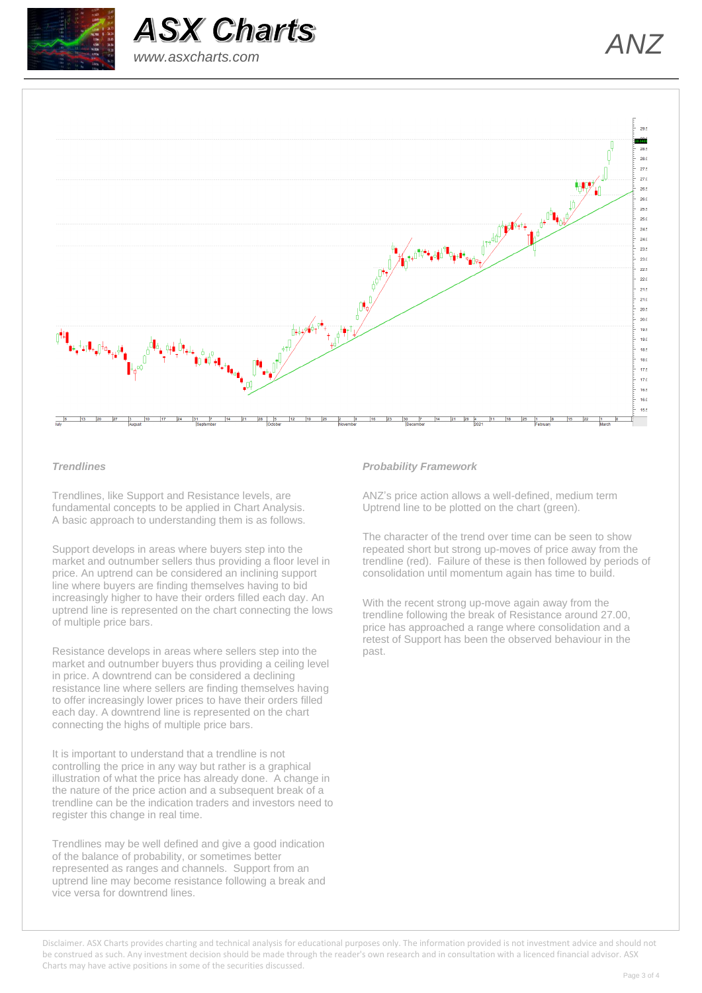





#### *Trendlines*

Trendlines, like Support and Resistance levels, are fundamental concepts to be applied in Chart Analysis. A basic approach to understanding them is as follows.

Support develops in areas where buyers step into the market and outnumber sellers thus providing a floor level in price. An uptrend can be considered an inclining support line where buyers are finding themselves having to bid increasingly higher to have their orders filled each day. An uptrend line is represented on the chart connecting the lows of multiple price bars.

Resistance develops in areas where sellers step into the market and outnumber buyers thus providing a ceiling level in price. A downtrend can be considered a declining resistance line where sellers are finding themselves having to offer increasingly lower prices to have their orders filled each day. A downtrend line is represented on the chart connecting the highs of multiple price bars.

It is important to understand that a trendline is not controlling the price in any way but rather is a graphical illustration of what the price has already done. A change in the nature of the price action and a subsequent break of a trendline can be the indication traders and investors need to register this change in real time.

Trendlines may be well defined and give a good indication of the balance of probability, or sometimes better represented as ranges and channels. Support from an uptrend line may become resistance following a break and vice versa for downtrend lines.

#### *Probability Framework*

ANZ's price action allows a well-defined, medium term Uptrend line to be plotted on the chart (green).

The character of the trend over time can be seen to show repeated short but strong up-moves of price away from the trendline (red). Failure of these is then followed by periods of consolidation until momentum again has time to build.

With the recent strong up-move again away from the trendline following the break of Resistance around 27.00, price has approached a range where consolidation and a retest of Support has been the observed behaviour in the past.